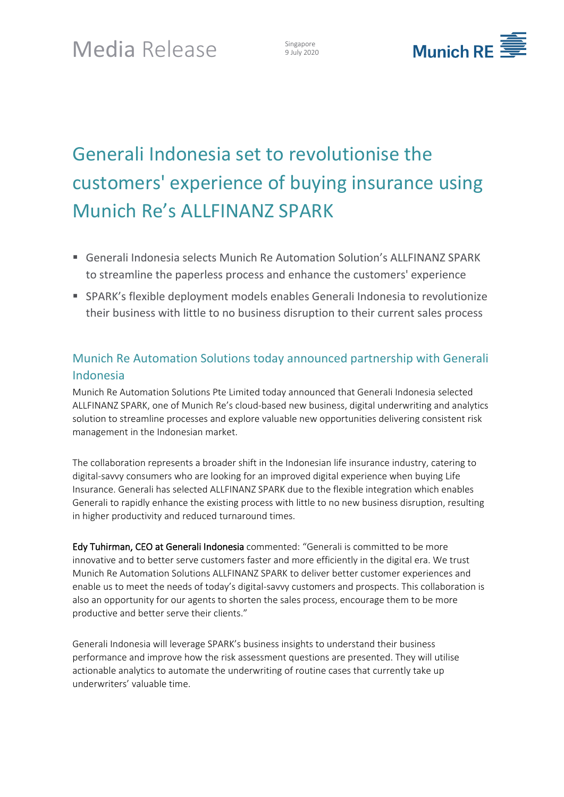9 July 2020



# Generali Indonesia set to revolutionise the customers' experience of buying insurance using Munich Re's ALLFINANZ SPARK

- Generali Indonesia selects Munich Re Automation Solution's ALLFINANZ SPARK to streamline the paperless process and enhance the customers' experience
- SPARK's flexible deployment models enables Generali Indonesia to revolutionize their business with little to no business disruption to their current sales process

## Munich Re Automation Solutions today announced partnership with Generali Indonesia

Munich Re Automation Solutions Pte Limited today announced that Generali Indonesia selected ALLFINANZ SPARK, one of Munich Re's cloud-based new business, digital underwriting and analytics solution to streamline processes and explore valuable new opportunities delivering consistent risk management in the Indonesian market.

The collaboration represents a broader shift in the Indonesian life insurance industry, catering to digital-savvy consumers who are looking for an improved digital experience when buying Life Insurance. Generali has selected ALLFINANZ SPARK due to the flexible integration which enables Generali to rapidly enhance the existing process with little to no new business disruption, resulting in higher productivity and reduced turnaround times.

Edy Tuhirman, CEO at Generali Indonesia commented: "Generali is committed to be more innovative and to better serve customers faster and more efficiently in the digital era. We trust Munich Re Automation Solutions ALLFINANZ SPARK to deliver better customer experiences and enable us to meet the needs of today's digital-savvy customers and prospects. This collaboration is also an opportunity for our agents to shorten the sales process, encourage them to be more productive and better serve their clients."

Generali Indonesia will leverage SPARK's business insights to understand their business performance and improve how the risk assessment questions are presented. They will utilise actionable analytics to automate the underwriting of routine cases that currently take up underwriters' valuable time.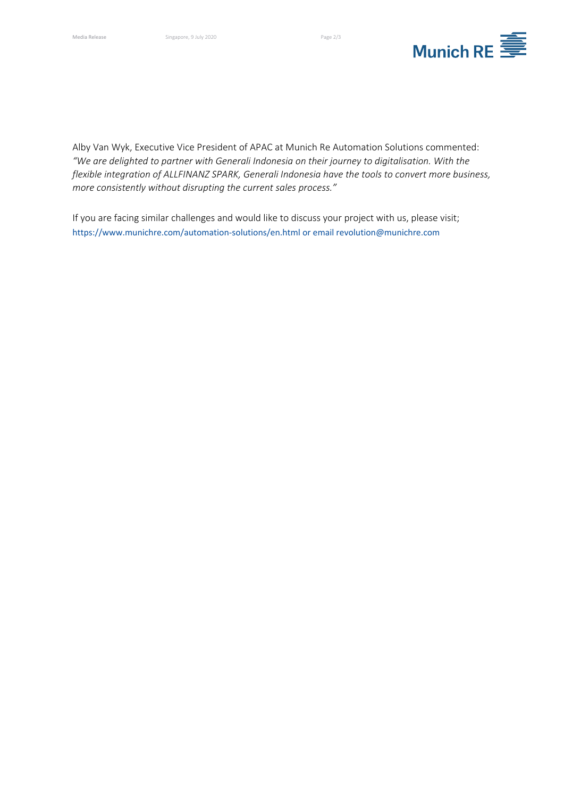

Alby Van Wyk, Executive Vice President of APAC at Munich Re Automation Solutions commented: *"We are delighted to partner with Generali Indonesia on their journey to digitalisation. With the flexible integration of ALLFINANZ SPARK, Generali Indonesia have the tools to convert more business, more consistently without disrupting the current sales process."*

If you are facing similar challenges and would like to discuss your project with us, please visit; <https://www.munichre.com/automation-solutions/en.html> or email revolution@munichre.com